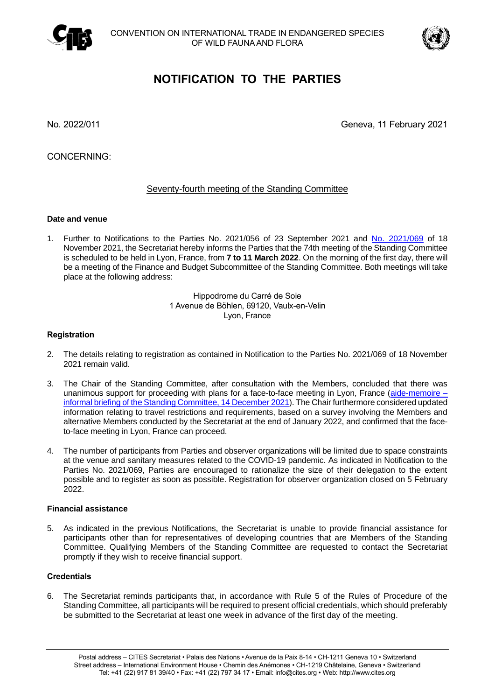



# **NOTIFICATION TO THE PARTIES**

No. 2022/011 Geneva, 11 February 2021

CONCERNING:

# Seventy-fourth meeting of the Standing Committee

# **Date and venue**

1. Further to Notifications to the Parties No. 2021/056 of 23 September 2021 and [No. 2021/069](https://cites.org/sites/default/files/notifications/E-Notif-2021-069.pdf) of 18 November 2021, the Secretariat hereby informs the Parties that the 74th meeting of the Standing Committee is scheduled to be held in Lyon, France, from **7 to 11 March 2022**. On the morning of the first day, there will be a meeting of the Finance and Budget Subcommittee of the Standing Committee. Both meetings will take place at the following address:

> Hippodrome du Carré de Soie 1 Avenue de Böhlen, 69120, Vaulx-en-Velin Lyon, France

# **Registration**

- 2. The details relating to registration as contained in Notification to the Parties No. 2021/069 of 18 November 2021 remain valid.
- 3. The Chair of the Standing Committee, after consultation with the Members, concluded that there was unanimous support for proceeding with plans for a face-to-face meeting in Lyon, France [\(aide-memoire –](https://cites.org/sites/default/files/eng/com/sc/2020-2021/Inf/E-SC2021-Inf-01.pdf) [informal briefing of the Standing Committee, 14 December 2021\)](https://cites.org/sites/default/files/eng/com/sc/2020-2021/Inf/E-SC2021-Inf-01.pdf). The Chair furthermore considered updated information relating to travel restrictions and requirements, based on a survey involving the Members and alternative Members conducted by the Secretariat at the end of January 2022, and confirmed that the faceto-face meeting in Lyon, France can proceed.
- 4. The number of participants from Parties and observer organizations will be limited due to space constraints at the venue and sanitary measures related to the COVID-19 pandemic. As indicated in Notification to the Parties No. 2021/069, Parties are encouraged to rationalize the size of their delegation to the extent possible and to register as soon as possible. Registration for observer organization closed on 5 February 2022.

#### **Financial assistance**

5. As indicated in the previous Notifications, the Secretariat is unable to provide financial assistance for participants other than for representatives of developing countries that are Members of the Standing Committee. Qualifying Members of the Standing Committee are requested to contact the Secretariat promptly if they wish to receive financial support.

#### **Credentials**

6. The Secretariat reminds participants that, in accordance with Rule 5 of the Rules of Procedure of the Standing Committee, all participants will be required to present official credentials, which should preferably be submitted to the Secretariat at least one week in advance of the first day of the meeting.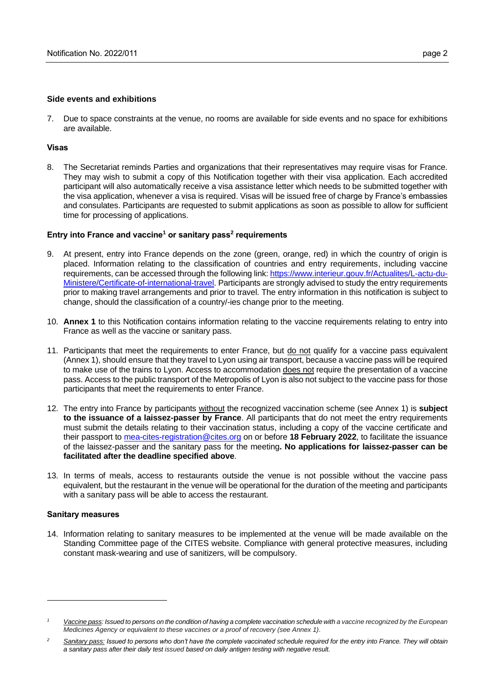### **Side events and exhibitions**

7. Due to space constraints at the venue, no rooms are available for side events and no space for exhibitions are available.

# **Visas**

8. The Secretariat reminds Parties and organizations that their representatives may require visas for France. They may wish to submit a copy of this Notification together with their visa application. Each accredited participant will also automatically receive a visa assistance letter which needs to be submitted together with the visa application, whenever a visa is required. Visas will be issued free of charge by France's embassies and consulates. Participants are requested to submit applications as soon as possible to allow for sufficient time for processing of applications.

# **Entry into France and vaccine<sup>1</sup> or sanitary pass<sup>2</sup> requirements**

- 9. At present, entry into France depends on the zone (green, orange, red) in which the country of origin is placed. Information relating to the classification of countries and entry requirements, including vaccine requirements, can be accessed through the following link: [https://www.interieur.gouv.fr/Actualites/L-actu-du-](https://www.interieur.gouv.fr/Actualites/L-actu-du-Ministere/Certificate-of-international-travel)[Ministere/Certificate-of-international-travel.](https://www.interieur.gouv.fr/Actualites/L-actu-du-Ministere/Certificate-of-international-travel) Participants are strongly advised to study the entry requirements prior to making travel arrangements and prior to travel. The entry information in this notification is subject to change, should the classification of a country/-ies change prior to the meeting.
- 10. **Annex 1** to this Notification contains information relating to the vaccine requirements relating to entry into France as well as the vaccine or sanitary pass.
- 11. Participants that meet the requirements to enter France, but do not qualify for a vaccine pass equivalent (Annex 1), should ensure that they travel to Lyon using air transport, because a vaccine pass will be required to make use of the trains to Lyon. Access to accommodation does not require the presentation of a vaccine pass. Access to the public transport of the Metropolis of Lyon is also not subject to the vaccine pass for those participants that meet the requirements to enter France.
- 12. The entry into France by participants without the recognized vaccination scheme (see Annex 1) is **subject to the issuance of a laissez-passer by France**. All participants that do not meet the entry requirements must submit the details relating to their vaccination status, including a copy of the vaccine certificate and their passport to [mea-cites-registration@cites.org](mailto:mea-cites-registration@cites.org) on or before **18 February 2022**, to facilitate the issuance of the laissez-passer and the sanitary pass for the meeting**. No applications for laissez-passer can be facilitated after the deadline specified above**.
- 13. In terms of meals, access to restaurants outside the venue is not possible without the vaccine pass equivalent, but the restaurant in the venue will be operational for the duration of the meeting and participants with a sanitary pass will be able to access the restaurant.

#### **Sanitary measures**

14. Information relating to sanitary measures to be implemented at the venue will be made available on the Standing Committee page of the CITES website. Compliance with general protective measures, including constant mask-wearing and use of sanitizers, will be compulsory.

*<sup>1</sup> Vaccine pass: Issued to persons on the condition of having a complete vaccination schedule with a vaccine recognized by the European Medicines Agency or equivalent to these vaccines or a proof of recovery (see Annex 1).*

*<sup>2</sup> Sanitary pass: Issued to persons who don't have the complete vaccinated schedule required for the entry into France. They will obtain a sanitary pass after their daily test issued based on daily antigen testing with negative result.*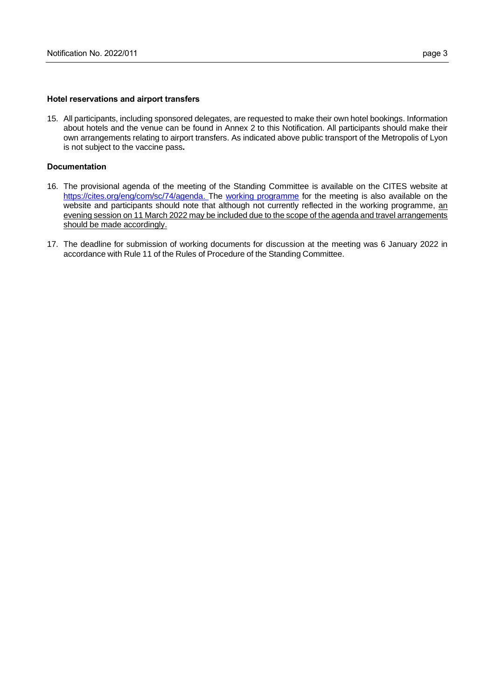#### **Hotel reservations and airport transfers**

15. All participants, including sponsored delegates, are requested to make their own hotel bookings. Information about hotels and the venue can be found in Annex 2 to this Notification. All participants should make their own arrangements relating to airport transfers. As indicated above public transport of the Metropolis of Lyon is not subject to the vaccine pass**.**

#### **Documentation**

- 16. The provisional agenda of the meeting of the Standing Committee is available on the CITES website at [https://cites.org/eng/com/sc/74/agenda.](https://cites.org/eng/com/sc/74/agenda) The [working programme](https://cites.org/sites/default/files/eng/com/sc/74/E-SC74-02.pdf) for the meeting is also available on the website and participants should note that although not currently reflected in the working programme, an evening session on 11 March 2022 may be included due to the scope of the agenda and travel arrangements should be made accordingly.
- 17. The deadline for submission of working documents for discussion at the meeting was 6 January 2022 in accordance with Rule 11 of the Rules of Procedure of the Standing Committee.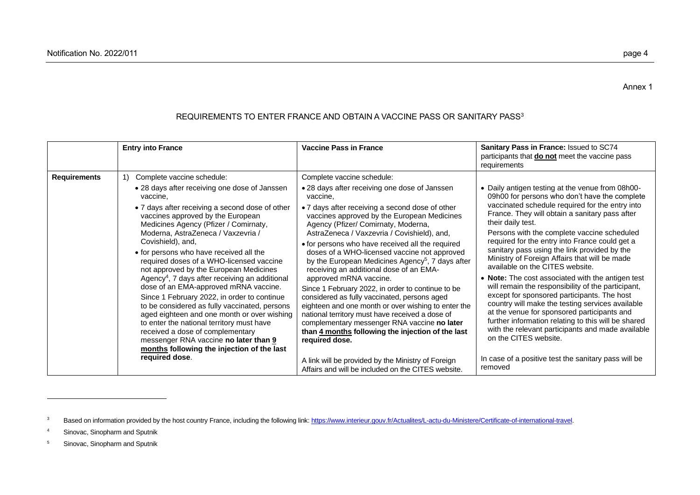|              | <b>Entry into France</b>                                                                                                                                                                                                                                                                                                                                                                                                                                                                                                                                                                                                                                                                                                                                                                                                                                 | <b>Vaccine Pass in France</b>                                                                                                                                                                                                                                                                                                                                                                                                                                                                                                                                                                                                                                                                                                                                                                                                                                  | Sanitary Pass in France: Issued to SC74<br>participants that <b>do not</b> meet the vaccine pass<br>requirements                                                                                                                                                                                                                                                                                                                                                                                                                                                                                                                                                                                                                                                                                                                                                   |
|--------------|----------------------------------------------------------------------------------------------------------------------------------------------------------------------------------------------------------------------------------------------------------------------------------------------------------------------------------------------------------------------------------------------------------------------------------------------------------------------------------------------------------------------------------------------------------------------------------------------------------------------------------------------------------------------------------------------------------------------------------------------------------------------------------------------------------------------------------------------------------|----------------------------------------------------------------------------------------------------------------------------------------------------------------------------------------------------------------------------------------------------------------------------------------------------------------------------------------------------------------------------------------------------------------------------------------------------------------------------------------------------------------------------------------------------------------------------------------------------------------------------------------------------------------------------------------------------------------------------------------------------------------------------------------------------------------------------------------------------------------|--------------------------------------------------------------------------------------------------------------------------------------------------------------------------------------------------------------------------------------------------------------------------------------------------------------------------------------------------------------------------------------------------------------------------------------------------------------------------------------------------------------------------------------------------------------------------------------------------------------------------------------------------------------------------------------------------------------------------------------------------------------------------------------------------------------------------------------------------------------------|
| Requirements | Complete vaccine schedule:<br>1)<br>• 28 days after receiving one dose of Janssen<br>vaccine,<br>• 7 days after receiving a second dose of other<br>vaccines approved by the European<br>Medicines Agency (Pfizer / Comirnaty,<br>Moderna, AstraZeneca / Vaxzevria /<br>Covishield), and,<br>• for persons who have received all the<br>required doses of a WHO-licensed vaccine<br>not approved by the European Medicines<br>Agency <sup>4</sup> , 7 days after receiving an additional<br>dose of an EMA-approved mRNA vaccine.<br>Since 1 February 2022, in order to continue<br>to be considered as fully vaccinated, persons<br>aged eighteen and one month or over wishing<br>to enter the national territory must have<br>received a dose of complementary<br>messenger RNA vaccine no later than 9<br>months following the injection of the last | Complete vaccine schedule:<br>• 28 days after receiving one dose of Janssen<br>vaccine,<br>• 7 days after receiving a second dose of other<br>vaccines approved by the European Medicines<br>Agency (Pfizer/ Comirnaty, Moderna,<br>AstraZeneca / Vaxzevria / Covishield), and,<br>• for persons who have received all the required<br>doses of a WHO-licensed vaccine not approved<br>by the European Medicines Agency <sup>5</sup> , 7 days after<br>receiving an additional dose of an EMA-<br>approved mRNA vaccine.<br>Since 1 February 2022, in order to continue to be<br>considered as fully vaccinated, persons aged<br>eighteen and one month or over wishing to enter the<br>national territory must have received a dose of<br>complementary messenger RNA vaccine no later<br>than 4 months following the injection of the last<br>required dose. | • Daily antigen testing at the venue from 08h00-<br>09h00 for persons who don't have the complete<br>vaccinated schedule required for the entry into<br>France. They will obtain a sanitary pass after<br>their daily test.<br>Persons with the complete vaccine scheduled<br>required for the entry into France could get a<br>sanitary pass using the link provided by the<br>Ministry of Foreign Affairs that will be made<br>available on the CITES website.<br>• Note: The cost associated with the antigen test<br>will remain the responsibility of the participant,<br>except for sponsored participants. The host<br>country will make the testing services available<br>at the venue for sponsored participants and<br>further information relating to this will be shared<br>with the relevant participants and made available<br>on the CITES website. |

A link will be provided by the Ministry of Foreign Affairs and will be included on the CITES website.

# REQUIREMENTS TO ENTER FRANCE AND OBTAIN A VACCINE PASS OR SANITARY PASS<sup>3</sup>

**required dose**.

Annex 1

In case of a positive test the sanitary pass will be

removed

<sup>&</sup>lt;sup>3</sup> Based on information provided by the host country France, including the following link[: https://www.interieur.gouv.fr/Actualites/L-actu-du-Ministere/Certificate-of-international-travel.](https://www.interieur.gouv.fr/Actualites/L-actu-du-Ministere/Certificate-of-international-travel)

<sup>4</sup> Sinovac, Sinopharm and Sputnik

<sup>5</sup> Sinovac, Sinopharm and Sputnik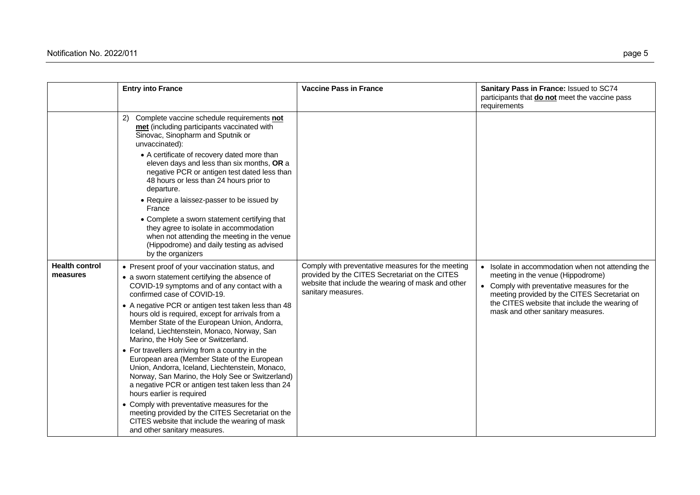|                                   | <b>Entry into France</b>                                                                                                                                                                                                                                                                | <b>Vaccine Pass in France</b>                                                                                                                                                   | Sanitary Pass in France: Issued to SC74<br>participants that do not meet the vaccine pass<br>requirements                                                                                                                                                                   |
|-----------------------------------|-----------------------------------------------------------------------------------------------------------------------------------------------------------------------------------------------------------------------------------------------------------------------------------------|---------------------------------------------------------------------------------------------------------------------------------------------------------------------------------|-----------------------------------------------------------------------------------------------------------------------------------------------------------------------------------------------------------------------------------------------------------------------------|
|                                   | 2) Complete vaccine schedule requirements not<br>met (including participants vaccinated with<br>Sinovac, Sinopharm and Sputnik or<br>unvaccinated):                                                                                                                                     |                                                                                                                                                                                 |                                                                                                                                                                                                                                                                             |
|                                   | • A certificate of recovery dated more than<br>eleven days and less than six months, OR a<br>negative PCR or antigen test dated less than<br>48 hours or less than 24 hours prior to<br>departure.                                                                                      |                                                                                                                                                                                 |                                                                                                                                                                                                                                                                             |
|                                   | • Require a laissez-passer to be issued by<br>France                                                                                                                                                                                                                                    |                                                                                                                                                                                 |                                                                                                                                                                                                                                                                             |
|                                   | • Complete a sworn statement certifying that<br>they agree to isolate in accommodation<br>when not attending the meeting in the venue<br>(Hippodrome) and daily testing as advised<br>by the organizers                                                                                 |                                                                                                                                                                                 |                                                                                                                                                                                                                                                                             |
| <b>Health control</b><br>measures | • Present proof of your vaccination status, and<br>• a sworn statement certifying the absence of<br>COVID-19 symptoms and of any contact with a<br>confirmed case of COVID-19.                                                                                                          | Comply with preventative measures for the meeting<br>provided by the CITES Secretariat on the CITES<br>website that include the wearing of mask and other<br>sanitary measures. | • Isolate in accommodation when not attending the<br>meeting in the venue (Hippodrome)<br>• Comply with preventative measures for the<br>meeting provided by the CITES Secretariat on<br>the CITES website that include the wearing of<br>mask and other sanitary measures. |
|                                   | • A negative PCR or antigen test taken less than 48<br>hours old is required, except for arrivals from a<br>Member State of the European Union, Andorra,<br>Iceland, Liechtenstein, Monaco, Norway, San<br>Marino, the Holy See or Switzerland.                                         |                                                                                                                                                                                 |                                                                                                                                                                                                                                                                             |
|                                   | • For travellers arriving from a country in the<br>European area (Member State of the European<br>Union, Andorra, Iceland, Liechtenstein, Monaco,<br>Norway, San Marino, the Holy See or Switzerland)<br>a negative PCR or antigen test taken less than 24<br>hours earlier is required |                                                                                                                                                                                 |                                                                                                                                                                                                                                                                             |
|                                   | • Comply with preventative measures for the<br>meeting provided by the CITES Secretariat on the<br>CITES website that include the wearing of mask<br>and other sanitary measures.                                                                                                       |                                                                                                                                                                                 |                                                                                                                                                                                                                                                                             |